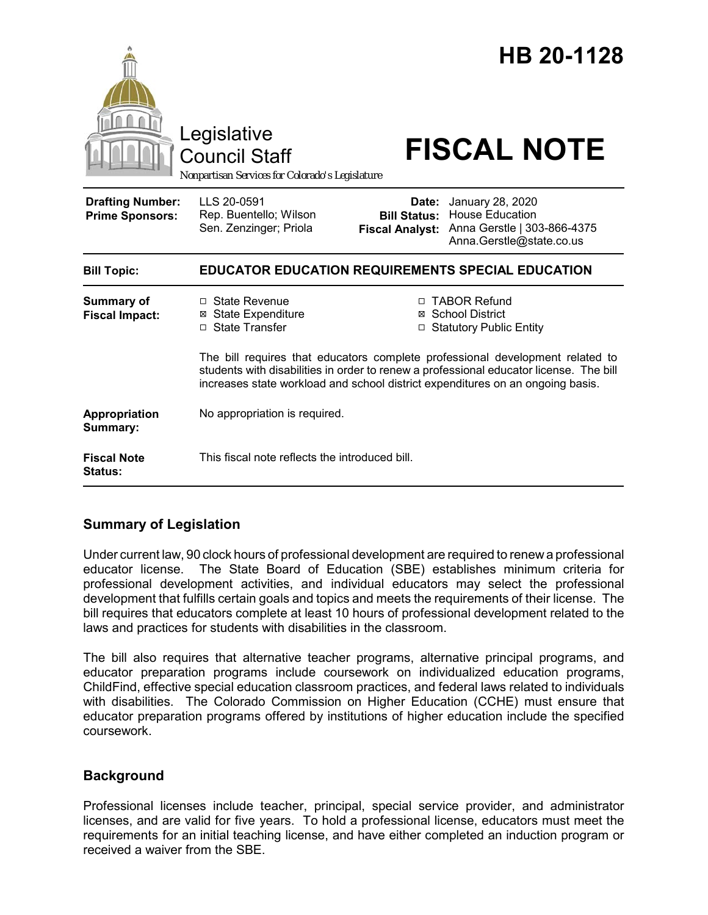

# **Summary of Legislation**

Under current law, 90 clock hours of professional development are required to renew a professional educator license. The State Board of Education (SBE) establishes minimum criteria for professional development activities, and individual educators may select the professional development that fulfills certain goals and topics and meets the requirements of their license. The bill requires that educators complete at least 10 hours of professional development related to the laws and practices for students with disabilities in the classroom.

The bill also requires that alternative teacher programs, alternative principal programs, and educator preparation programs include coursework on individualized education programs, ChildFind, effective special education classroom practices, and federal laws related to individuals with disabilities. The Colorado Commission on Higher Education (CCHE) must ensure that educator preparation programs offered by institutions of higher education include the specified coursework.

## **Background**

Professional licenses include teacher, principal, special service provider, and administrator licenses, and are valid for five years. To hold a professional license, educators must meet the requirements for an initial teaching license, and have either completed an induction program or received a waiver from the SBE.